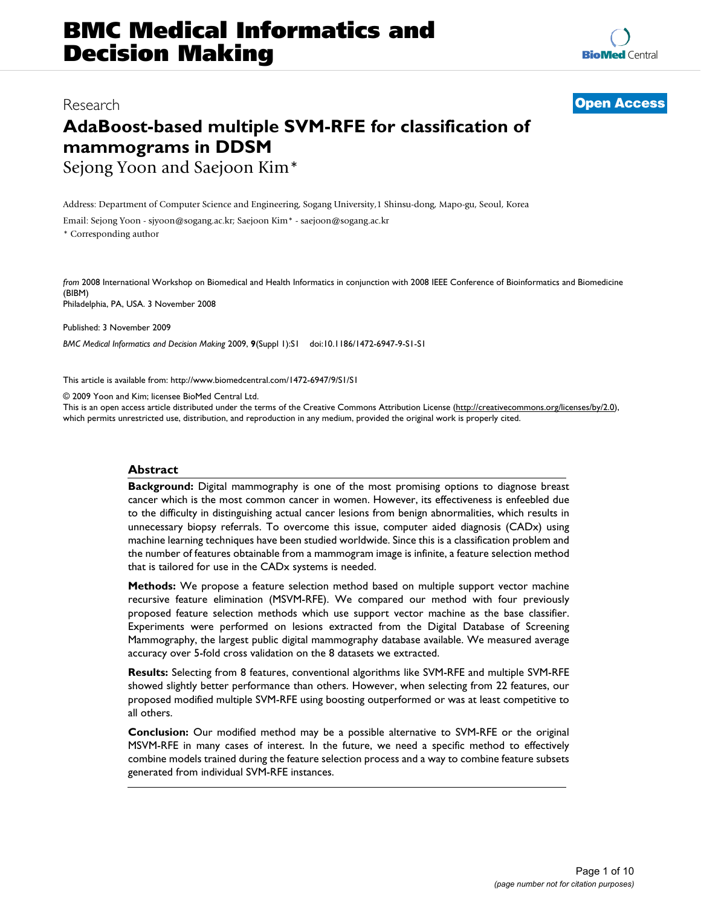# **BMC Medical Informatics and Decision Making**

### **AdaBoost-based multiple SVM-RFE for classification of mammograms in DDSM** Sejong Yoon and Saejoon Kim\*

Address: Department of Computer Science and Engineering, Sogang University,1 Shinsu-dong, Mapo-gu, Seoul, Korea

Email: Sejong Yoon - sjyoon@sogang.ac.kr; Saejoon Kim\* - saejoon@sogang.ac.kr

\* Corresponding author

*from* 2008 International Workshop on Biomedical and Health Informatics in conjunction with 2008 IEEE Conference of Bioinformatics and Biomedicine (BIBM)

Philadelphia, PA, USA. 3 November 2008

Published: 3 November 2009

*BMC Medical Informatics and Decision Making* 2009, **9**(Suppl 1):S1 doi:10.1186/1472-6947-9-S1-S1

[This article is available from: http://www.biomedcentral.com/1472-6947/9/S1/S1](http://www.biomedcentral.com/1472-6947/9/S1/S1)

© 2009 Yoon and Kim; licensee BioMed Central Ltd.

This is an open access article distributed under the terms of the Creative Commons Attribution License [\(http://creativecommons.org/licenses/by/2.0\)](http://creativecommons.org/licenses/by/2.0), which permits unrestricted use, distribution, and reproduction in any medium, provided the original work is properly cited.

#### **Abstract**

**Background:** Digital mammography is one of the most promising options to diagnose breast cancer which is the most common cancer in women. However, its effectiveness is enfeebled due to the difficulty in distinguishing actual cancer lesions from benign abnormalities, which results in unnecessary biopsy referrals. To overcome this issue, computer aided diagnosis (CADx) using machine learning techniques have been studied worldwide. Since this is a classification problem and the number of features obtainable from a mammogram image is infinite, a feature selection method that is tailored for use in the CADx systems is needed.

**Methods:** We propose a feature selection method based on multiple support vector machine recursive feature elimination (MSVM-RFE). We compared our method with four previously proposed feature selection methods which use support vector machine as the base classifier. Experiments were performed on lesions extracted from the Digital Database of Screening Mammography, the largest public digital mammography database available. We measured average accuracy over 5-fold cross validation on the 8 datasets we extracted.

**Results:** Selecting from 8 features, conventional algorithms like SVM-RFE and multiple SVM-RFE showed slightly better performance than others. However, when selecting from 22 features, our proposed modified multiple SVM-RFE using boosting outperformed or was at least competitive to all others.

**Conclusion:** Our modified method may be a possible alternative to SVM-RFE or the original MSVM-RFE in many cases of interest. In the future, we need a specific method to effectively combine models trained during the feature selection process and a way to combine feature subsets generated from individual SVM-RFE instances.

## Research **[Open Access](http://www.biomedcentral.com/info/about/charter/)**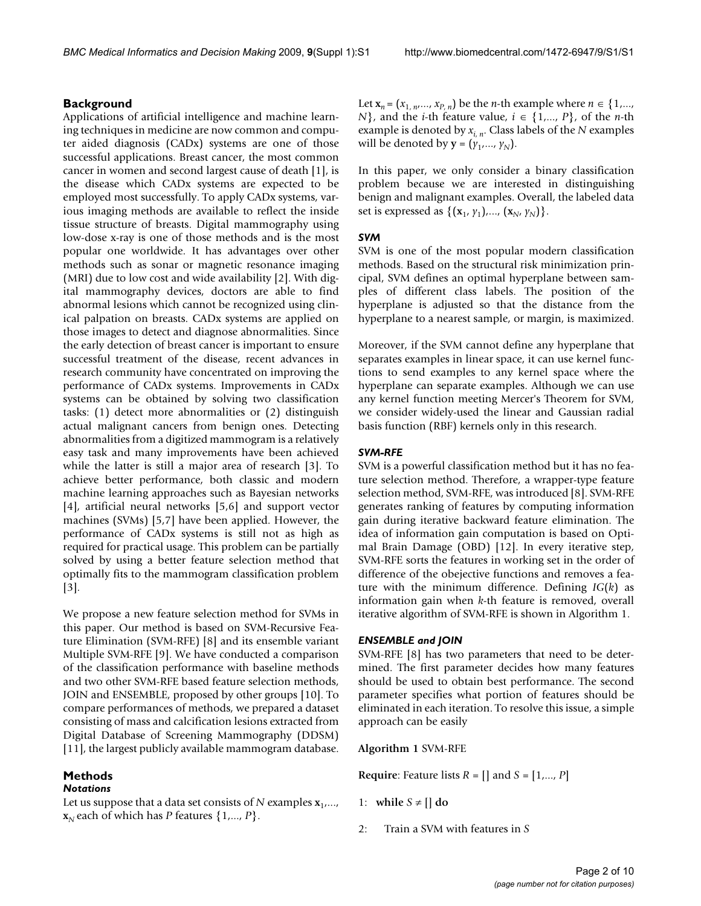#### **Background**

Applications of artificial intelligence and machine learning techniques in medicine are now common and computer aided diagnosis (CADx) systems are one of those successful applications. Breast cancer, the most common cancer in women and second largest cause of death [1], is the disease which CADx systems are expected to be employed most successfully. To apply CADx systems, various imaging methods are available to reflect the inside tissue structure of breasts. Digital mammography using low-dose x-ray is one of those methods and is the most popular one worldwide. It has advantages over other methods such as sonar or magnetic resonance imaging (MRI) due to low cost and wide availability [2]. With digital mammography devices, doctors are able to find abnormal lesions which cannot be recognized using clinical palpation on breasts. CADx systems are applied on those images to detect and diagnose abnormalities. Since the early detection of breast cancer is important to ensure successful treatment of the disease, recent advances in research community have concentrated on improving the performance of CADx systems. Improvements in CADx systems can be obtained by solving two classification tasks: (1) detect more abnormalities or (2) distinguish actual malignant cancers from benign ones. Detecting abnormalities from a digitized mammogram is a relatively easy task and many improvements have been achieved while the latter is still a major area of research [3]. To achieve better performance, both classic and modern machine learning approaches such as Bayesian networks [4], artificial neural networks [5,6] and support vector machines (SVMs) [5,7] have been applied. However, the performance of CADx systems is still not as high as required for practical usage. This problem can be partially solved by using a better feature selection method that optimally fits to the mammogram classification problem [3].

We propose a new feature selection method for SVMs in this paper. Our method is based on SVM-Recursive Feature Elimination (SVM-RFE) [8] and its ensemble variant Multiple SVM-RFE [9]. We have conducted a comparison of the classification performance with baseline methods and two other SVM-RFE based feature selection methods, JOIN and ENSEMBLE, proposed by other groups [10]. To compare performances of methods, we prepared a dataset consisting of mass and calcification lesions extracted from Digital Database of Screening Mammography (DDSM) [11], the largest publicly available mammogram database.

### **Methods**

#### *Notations*

Let us suppose that a data set consists of  $N$  examples  $\mathbf{x}_1$ ,...,  $\mathbf{x}_N$  each of which has *P* features  $\{1,..., P\}$ .

Let  **be the** *n***-th example where** *n* **∈ {1,...,** *N*}, and the *i*-th feature value,  $i \in \{1,..., P\}$ , of the *n*-th example is denoted by *xi*, *n*. Class labels of the *N* examples will be denoted by  $\mathbf{y} = (y_1, \dots, y_N)$ .

In this paper, we only consider a binary classification problem because we are interested in distinguishing benign and malignant examples. Overall, the labeled data set is expressed as  $\{({\bf x}_1, y_1),..., ({\bf x}_N, y_N)\}.$ 

#### *SVM*

SVM is one of the most popular modern classification methods. Based on the structural risk minimization principal, SVM defines an optimal hyperplane between samples of different class labels. The position of the hyperplane is adjusted so that the distance from the hyperplane to a nearest sample, or margin, is maximized.

Moreover, if the SVM cannot define any hyperplane that separates examples in linear space, it can use kernel functions to send examples to any kernel space where the hyperplane can separate examples. Although we can use any kernel function meeting Mercer's Theorem for SVM, we consider widely-used the linear and Gaussian radial basis function (RBF) kernels only in this research.

#### *SVM-RFE*

SVM is a powerful classification method but it has no feature selection method. Therefore, a wrapper-type feature selection method, SVM-RFE, was introduced [8]. SVM-RFE generates ranking of features by computing information gain during iterative backward feature elimination. The idea of information gain computation is based on Optimal Brain Damage (OBD) [12]. In every iterative step, SVM-RFE sorts the features in working set in the order of difference of the obejective functions and removes a feature with the minimum difference. Defining *IG*(*k*) as information gain when *k*-th feature is removed, overall iterative algorithm of SVM-RFE is shown in Algorithm 1.

#### *ENSEMBLE and JOIN*

SVM-RFE [8] has two parameters that need to be determined. The first parameter decides how many features should be used to obtain best performance. The second parameter specifies what portion of features should be eliminated in each iteration. To resolve this issue, a simple approach can be easily

**Algorithm 1** SVM-RFE

**Require**: Feature lists *R* = [] and *S* = [1,..., *P*]

- 1: while  $S \neq \lceil \cdot \rceil$  do
- 2: Train a SVM with features in *S*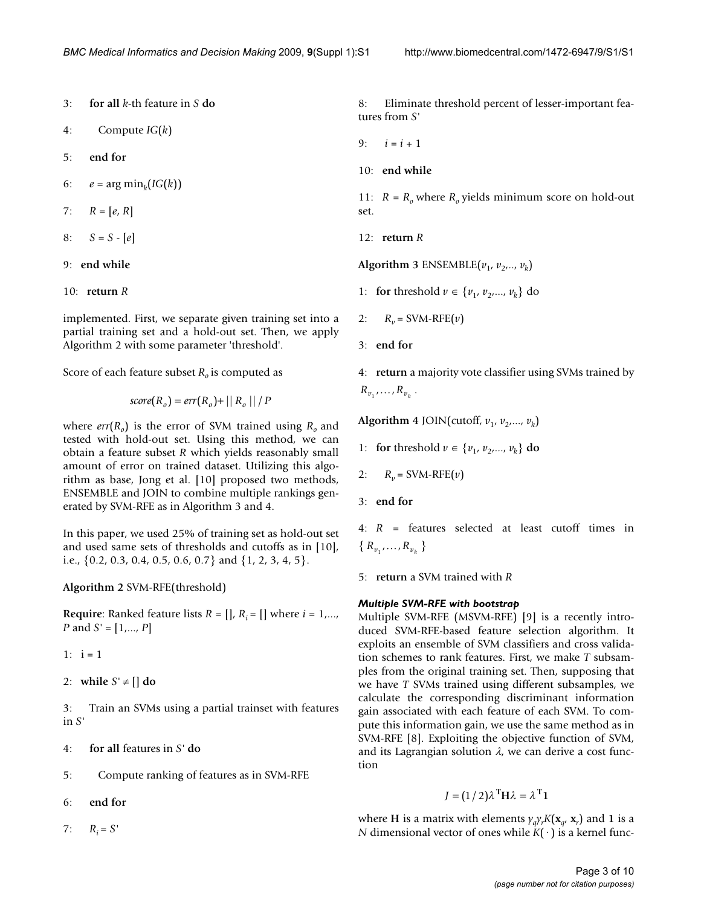3: **for all** *k*-th feature in *S* **do**

4: Compute *IG*(*k*)

5: **end for**

6:  $e = \arg \min_k (IG(k))$ 

7:  $R = [e, R]$ 

- 8:  $S = S [e]$
- 9: **end while**
- 10: **return** *R*

implemented. First, we separate given training set into a partial training set and a hold-out set. Then, we apply Algorithm 2 with some parameter 'threshold'.

Score of each feature subset  $R_0$  is computed as

$$
score(R_o) = err(R_o) + || R_o || / P
$$

where  $err(R_0)$  is the error of SVM trained using  $R_0$  and tested with hold-out set. Using this method, we can obtain a feature subset *R* which yields reasonably small amount of error on trained dataset. Utilizing this algorithm as base, Jong et al. [10] proposed two methods, ENSEMBLE and JOIN to combine multiple rankings generated by SVM-RFE as in Algorithm 3 and 4.

In this paper, we used 25% of training set as hold-out set and used same sets of thresholds and cutoffs as in [10], i.e., {0.2, 0.3, 0.4, 0.5, 0.6, 0.7} and {1, 2, 3, 4, 5}.

**Algorithm 2** SVM-RFE(threshold)

**Require:** Ranked feature lists  $R = \iint_R R_i = \iint_R \text{ where } i = 1, \ldots, k$ *P* and *S'* = [1,..., *P*]

1:  $i = 1$ 

2: while  $S' \neq \iint d\theta$ 

3: Train an SVMs using a partial trainset with features in *S'*

- 4: **for all** features in *S'* **do**
- 5: Compute ranking of features as in SVM-RFE

6: **end for**

7:  $R_i = S'$ 

8: Eliminate threshold percent of lesser-important features from *S'*

- 9:  $i = i + 1$
- 10: **end while**

11:  $R = R_0$  where  $R_0$  yields minimum score on hold-out set.

12: **return** *R*

Algorithm 3 ENSEMBLE $(v_1, v_2, \ldots, v_k)$ 

- 1: **for** threshold  $v \in \{v_1, v_2, ..., v_k\}$  do
- 2:  $R_v = \text{SVM-RFE}(v)$
- 3: **end for**

4: **return** a majority vote classifier using SVMs trained by  $R_{v_1}, \ldots, R_{v_k}$ .

Algorithm 4 JOIN(cutoff,  $v_1$ ,  $v_2$ ,...,  $v_k$ )

- 1: **for** threshold  $v \in \{v_1, v_2, ..., v_k\}$  **do**
- 2:  $R_v = \text{SVM-RFE}(v)$
- 3: **end for**

4: *R* = features selected at least cutoff times in  ${R_{v_1}, ..., R_{v_k}}$ 

5: **return** a SVM trained with *R*

#### *Multiple SVM-RFE with bootstrap*

Multiple SVM-RFE (MSVM-RFE) [9] is a recently introduced SVM-RFE-based feature selection algorithm. It exploits an ensemble of SVM classifiers and cross validation schemes to rank features. First, we make *T* subsamples from the original training set. Then, supposing that we have *T* SVMs trained using different subsamples, we calculate the corresponding discriminant information gain associated with each feature of each SVM. To compute this information gain, we use the same method as in SVM-RFE [8]. Exploiting the objective function of SVM, and its Lagrangian solution  $\lambda$ , we can derive a cost function

$$
J = (1/2)\lambda^{\mathrm{T}}H\lambda = \lambda^{\mathrm{T}}1
$$

where **H** is a matrix with elements  $\gamma_q \gamma_r K(\mathbf{x}_{q'} | \mathbf{x}_r)$  and 1 is a *N* dimensional vector of ones while  $K(\cdot)$  is a kernel func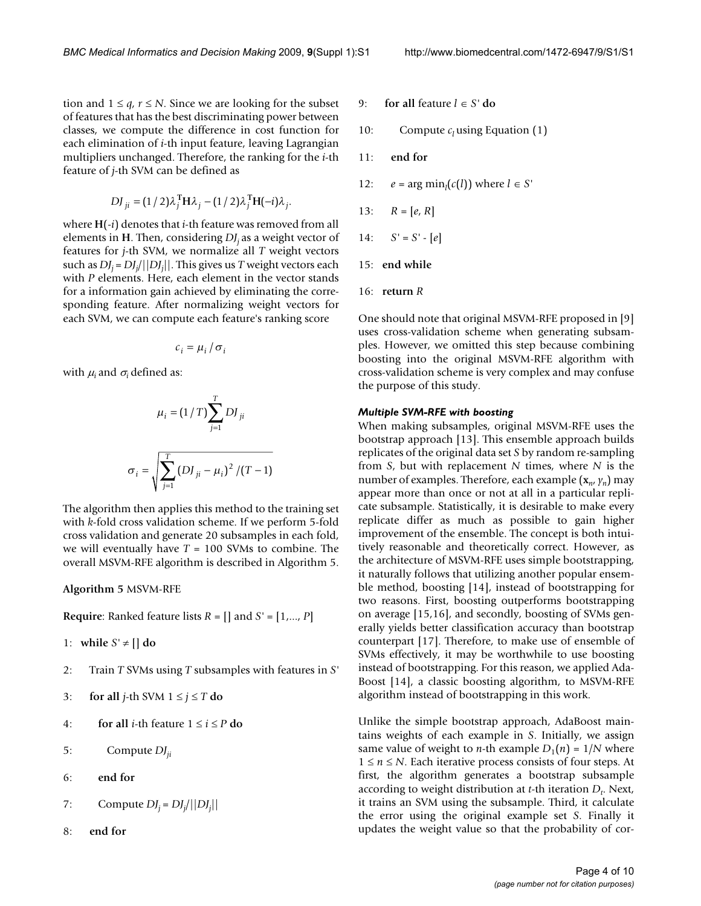tion and  $1 \leq q, r \leq N$ . Since we are looking for the subset of features that has the best discriminating power between classes, we compute the difference in cost function for each elimination of *i*-th input feature, leaving Lagrangian multipliers unchanged. Therefore, the ranking for the *i*-th feature of *j*-th SVM can be defined as

$$
DJ_{ji} = (1/2)\lambda_j^{\mathrm{T}} H \lambda_j - (1/2)\lambda_j^{\mathrm{T}} H(-i)\lambda_j.
$$

where **H**(-*i*) denotes that *i*-th feature was removed from all elements in **H**. Then, considering *DJj* as a weight vector of features for *j*-th SVM, we normalize all *T* weight vectors such as *DJj* = *DJj* /||*DJj* ||. This gives us *T* weight vectors each with *P* elements. Here, each element in the vector stands for a information gain achieved by eliminating the corresponding feature. After normalizing weight vectors for each SVM, we can compute each feature's ranking score

$$
c_i = \mu_i / \sigma_i
$$

with  $\mu_i$  and  $\sigma_i$  defined as:

$$
\mu_{i} = (1/T) \sum_{j=1}^{T} D J_{ji}
$$

$$
\sigma_{i} = \sqrt{\sum_{j=1}^{T} (D J_{ji} - \mu_{i})^{2} / (T - 1)}
$$

The algorithm then applies this method to the training set with *k*-fold cross validation scheme. If we perform 5-fold cross validation and generate 20 subsamples in each fold, we will eventually have *T* = 100 SVMs to combine. The overall MSVM-RFE algorithm is described in Algorithm 5.

**Algorithm 5** MSVM-RFE

**Require**: Ranked feature lists *R* = [] and *S'* = [1,..., *P*]

1: while  $S' \neq \lceil \cdot \rceil$  do

- 2: Train *T* SVMs using *T* subsamples with features in *S'*
- 3: **for all** *j*-th SVM  $1 \le j \le T$  **do**
- 4: **for all** *i***-th feature**  $1 \le i \le P$  **do**
- 5: Compute *DJji*
- 6: **end for**
- 7: Compute  $DJ_j = DJ_j/||DJ_j||$
- 8: **end for**
- 9: **for all** feature *l* ∈ *S'* **do**
- 10: Compute  $c_l$  using Equation (1)
- 11: **end for**
- 12:  $e = \arg \min_l(c(l))$  where  $l \in S'$
- 13:  $R = [e, R]$
- 14:  $S' = S' [e]$
- 15: **end while**
- 16: **return** *R*

One should note that original MSVM-RFE proposed in [9] uses cross-validation scheme when generating subsamples. However, we omitted this step because combining boosting into the original MSVM-RFE algorithm with cross-validation scheme is very complex and may confuse the purpose of this study.

#### *Multiple SVM-RFE with boosting*

When making subsamples, original MSVM-RFE uses the bootstrap approach [13]. This ensemble approach builds replicates of the original data set *S* by random re-sampling from *S*, but with replacement *N* times, where *N* is the number of examples. Therefore, each example (**x***n*, *yn*) may appear more than once or not at all in a particular replicate subsample. Statistically, it is desirable to make every replicate differ as much as possible to gain higher improvement of the ensemble. The concept is both intuitively reasonable and theoretically correct. However, as the architecture of MSVM-RFE uses simple bootstrapping, it naturally follows that utilizing another popular ensemble method, boosting [14], instead of bootstrapping for two reasons. First, boosting outperforms bootstrapping on average [15,16], and secondly, boosting of SVMs generally yields better classification accuracy than bootstrap counterpart [17]. Therefore, to make use of ensemble of SVMs effectively, it may be worthwhile to use boosting instead of bootstrapping. For this reason, we applied Ada-Boost [14], a classic boosting algorithm, to MSVM-RFE algorithm instead of bootstrapping in this work.

Unlike the simple bootstrap approach, AdaBoost maintains weights of each example in *S*. Initially, we assign same value of weight to *n*-th example  $D_1(n) = 1/N$  where 1 ≤ *n* ≤ *N*. Each iterative process consists of four steps. At first, the algorithm generates a bootstrap subsample according to weight distribution at *t*-th iteration  $D_t$ . Next, it trains an SVM using the subsample. Third, it calculate the error using the original example set *S*. Finally it updates the weight value so that the probability of cor-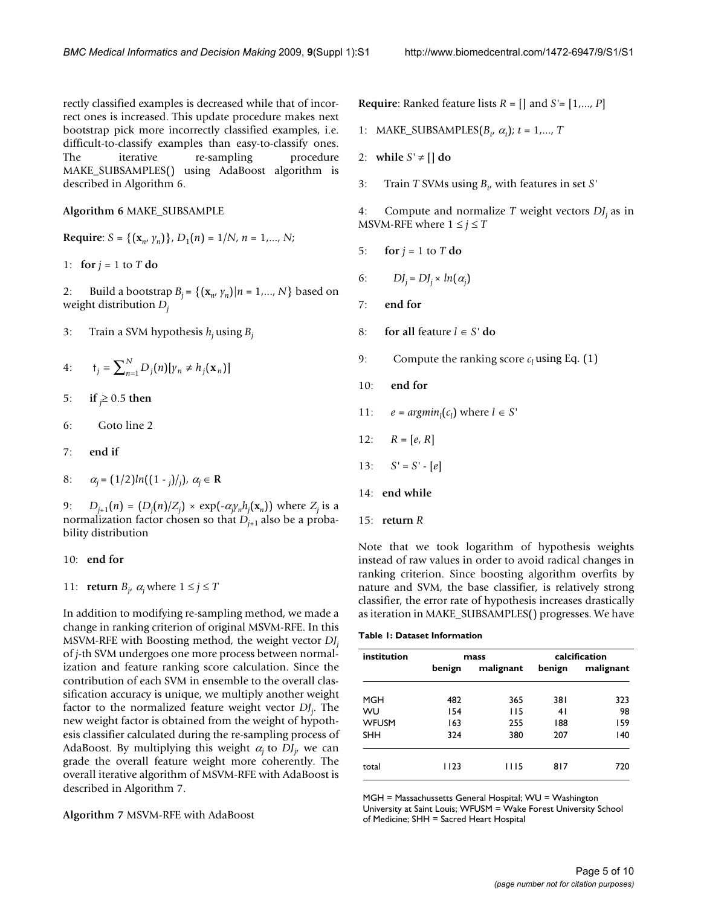rectly classified examples is decreased while that of incorrect ones is increased. This update procedure makes next bootstrap pick more incorrectly classified examples, i.e. difficult-to-classify examples than easy-to-classify ones. The iterative re-sampling procedure MAKE\_SUBSAMPLES() using AdaBoost algorithm is described in Algorithm 6.

#### **Algorithm 6** MAKE\_SUBSAMPLE

**Required:** 
$$
S = \{ (\mathbf{x}_n, \gamma_n) \}, D_1(n) = 1/N, n = 1, ..., N;
$$

1: for 
$$
j = 1
$$
 to  $T$  do

- 2: Build a bootstrap  $B_i = \{(\mathbf{x}_n, y_n) | n = 1, ..., N\}$  based on weight distribution *Dj*
- 3: Train a SVM hypothesis *hj* using *Bj*
- $4·$  $\mathbf{p}_j = \sum_{n=1}^N D_j(n)[\gamma_n \neq h_j(\mathbf{x}_n)]$
- 5: **if**  $\geq$  0.5 **then**
- 6: Goto line 2
- 7: **end if**
- 8:  $\alpha_j = (1/2)ln((1-j)/j), \alpha_j \in \mathbb{R}$

9:  $D_{j+1}(n) = (D_j(n)/Z_j) \times \exp(-\alpha_j y_n h_j(\mathbf{x}_n))$  where  $Z_j$  is a normalization factor chosen so that  $D_{i+1}$  also be a probability distribution

#### 10: **end for**

11: **return**  $B_j$ ,  $\alpha_j$  where  $1 \le j \le T$ 

In addition to modifying re-sampling method, we made a change in ranking criterion of original MSVM-RFE. In this MSVM-RFE with Boosting method, the weight vector *DJj* of *j*-th SVM undergoes one more process between normalization and feature ranking score calculation. Since the contribution of each SVM in ensemble to the overall classification accuracy is unique, we multiply another weight factor to the normalized feature weight vector *DJj* . The new weight factor is obtained from the weight of hypothesis classifier calculated during the re-sampling process of AdaBoost. By multiplying this weight <sup>α</sup>*j* to *DJj* , we can grade the overall feature weight more coherently. The overall iterative algorithm of MSVM-RFE with AdaBoost is described in Algorithm 7.

**Algorithm 7** MSVM-RFE with AdaBoost

**Require**: Ranked feature lists *R* = [] and *S'*= [1,..., *P*]

- 1: MAKE\_SUBSAMPLES $(B_t, \alpha_t)$ ;  $t = 1,..., T$
- 2: while  $S' \neq \iint d\theta$
- 3: Train *T* SVMs using  $B_t$ , with features in set *S*<sup> $\prime$ </sup>

4: Compute and normalize *T* weight vectors *DJj* as in MSVM-RFE where  $1 \le j \le T$ 

5: **for**  $j = 1$  to  $T$  **do** 

6: 
$$
DJ_j = DJ_j \times ln(\alpha_j)
$$

- 7: **end for**
- 8: **for all** feature  $l \in S'$  **do**
- 9: Compute the ranking score  $c_l$  using Eq. (1)
- 10: **end for**
- 11:  $e = argmin_l(c_l)$  where  $l \in S'$
- 12:  $R = [e, R]$
- 13:  $S' = S' [e]$
- 14: **end while**
- 15: **return** *R*

Note that we took logarithm of hypothesis weights instead of raw values in order to avoid radical changes in ranking criterion. Since boosting algorithm overfits by nature and SVM, the base classifier, is relatively strong classifier, the error rate of hypothesis increases drastically as iteration in MAKE\_SUBSAMPLES() progresses. We have

| Table 1: Dataset Information |  |
|------------------------------|--|
|------------------------------|--|

| institution  |        | mass      | calcification |           |  |
|--------------|--------|-----------|---------------|-----------|--|
|              | benign | malignant | benign        | malignant |  |
| MGH          | 482    | 365       | 381           | 323       |  |
| WU           | 154    | 115       | 41            | 98        |  |
| <b>WFUSM</b> | 163    | 255       | 188           | 159       |  |
| <b>SHH</b>   | 324    | 380       | 207           | 140       |  |
| total        | 1123   | I I I 5   | 817           | 720       |  |

MGH = Massachussetts General Hospital; WU = Washington University at Saint Louis; WFUSM = Wake Forest University School of Medicine; SHH = Sacred Heart Hospital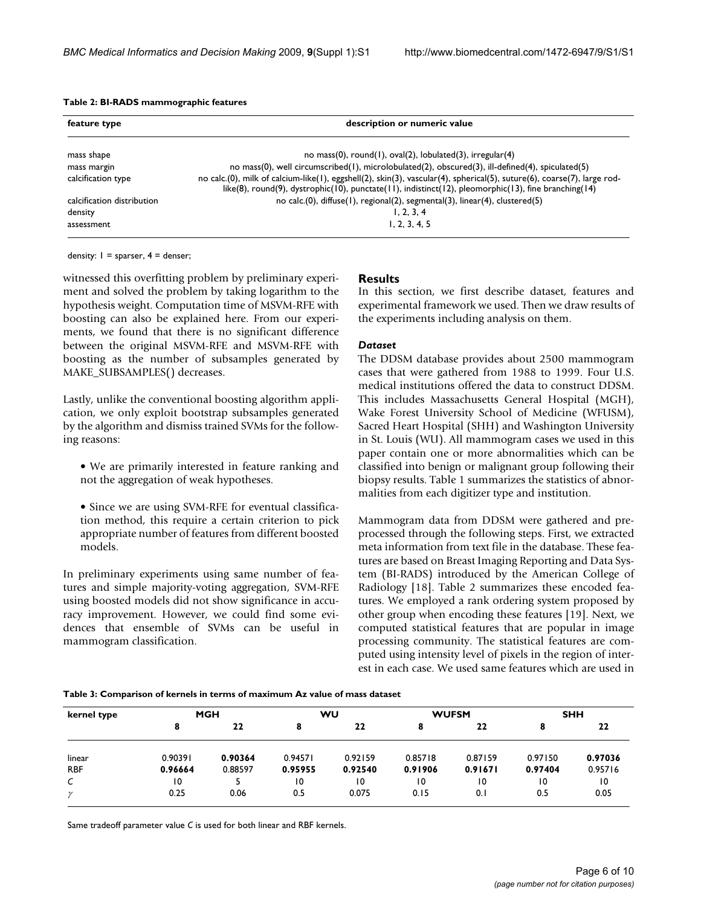| Table 2: BI-RADS mammographic features |  |  |
|----------------------------------------|--|--|
|----------------------------------------|--|--|

| feature type               | description or numeric value                                                                                                                                                                                                    |
|----------------------------|---------------------------------------------------------------------------------------------------------------------------------------------------------------------------------------------------------------------------------|
| mass shape                 | no mass(0), round(1), $oval(2)$ , $lobulated(3)$ , $irregular(4)$                                                                                                                                                               |
| mass margin                | no mass(0), well circumscribed(1), microlobulated(2), obscured(3), ill-defined(4), spiculated(5)                                                                                                                                |
| calcification type         | no calc.(0), milk of calcium-like(1), eggshell(2), skin(3), vascular(4), spherical(5), suture(6), coarse(7), large rod-<br>like(8), round(9), dystrophic(10), punctate(11), indistinct(12), pleomorphic(13), fine branching(14) |
| calcification distribution | no calc.(0), diffuse(1), regional(2), segmental(3), linear(4), clustered(5)                                                                                                                                                     |
| density                    | 1, 2, 3, 4                                                                                                                                                                                                                      |
| assessment                 | 1, 2, 3, 4, 5                                                                                                                                                                                                                   |

density:  $I = sparser, 4 = denser;$ 

witnessed this overfitting problem by preliminary experiment and solved the problem by taking logarithm to the hypothesis weight. Computation time of MSVM-RFE with boosting can also be explained here. From our experiments, we found that there is no significant difference between the original MSVM-RFE and MSVM-RFE with boosting as the number of subsamples generated by MAKE\_SUBSAMPLES() decreases.

Lastly, unlike the conventional boosting algorithm application, we only exploit bootstrap subsamples generated by the algorithm and dismiss trained SVMs for the following reasons:

- We are primarily interested in feature ranking and not the aggregation of weak hypotheses.
- Since we are using SVM-RFE for eventual classification method, this require a certain criterion to pick appropriate number of features from different boosted models.

In preliminary experiments using same number of features and simple majority-voting aggregation, SVM-RFE using boosted models did not show significance in accuracy improvement. However, we could find some evidences that ensemble of SVMs can be useful in mammogram classification.

#### **Results**

In this section, we first describe dataset, features and experimental framework we used. Then we draw results of the experiments including analysis on them.

#### *Dataset*

The DDSM database provides about 2500 mammogram cases that were gathered from 1988 to 1999. Four U.S. medical institutions offered the data to construct DDSM. This includes Massachusetts General Hospital (MGH), Wake Forest University School of Medicine (WFUSM), Sacred Heart Hospital (SHH) and Washington University in St. Louis (WU). All mammogram cases we used in this paper contain one or more abnormalities which can be classified into benign or malignant group following their biopsy results. Table 1 summarizes the statistics of abnormalities from each digitizer type and institution.

Mammogram data from DDSM were gathered and preprocessed through the following steps. First, we extracted meta information from text file in the database. These features are based on Breast Imaging Reporting and Data System (BI-RADS) introduced by the American College of Radiology [18]. Table 2 summarizes these encoded features. We employed a rank ordering system proposed by other group when encoding these features [19]. Next, we computed statistical features that are popular in image processing community. The statistical features are computed using intensity level of pixels in the region of interest in each case. We used same features which are used in

#### **Table 3: Comparison of kernels in terms of maximum Az value of mass dataset**

| kernel type  |         | <b>MGH</b> |         | WU      |         | <b>WUFSM</b> |         | <b>SHH</b> |  |
|--------------|---------|------------|---------|---------|---------|--------------|---------|------------|--|
|              | 8       | 22         | 8       | 22      | 8       | 22           | 8       | 22         |  |
| linear       | 0.90391 | 0.90364    | 0.94571 | 0.92159 | 0.85718 | 0.87159      | 0.97150 | 0.97036    |  |
| <b>RBF</b>   | 0.96664 | 0.88597    | 0.95955 | 0.92540 | 0.91906 | 0.91671      | 0.97404 | 0.95716    |  |
| $\epsilon$   | 10      |            | 10      | 10      | 10      | 10           | 10      | 10         |  |
| $\mathcal V$ | 0.25    | 0.06       | 0.5     | 0.075   | 0.15    | 0.1          | 0.5     | 0.05       |  |

Same tradeoff parameter value *C* is used for both linear and RBF kernels.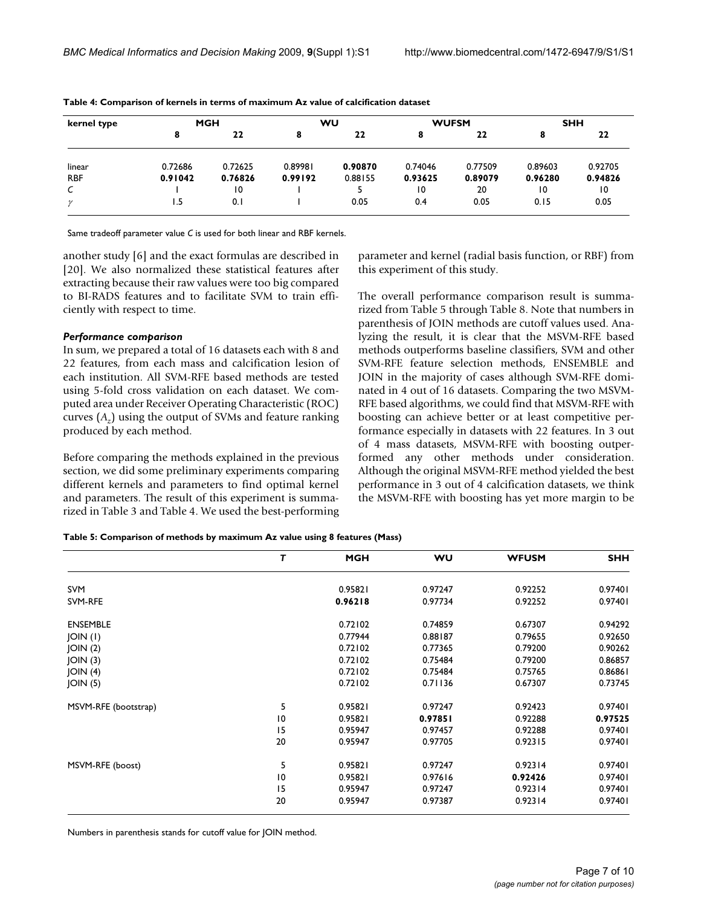| kernel type  |         | <b>MGH</b> |         | WU      |         | <b>WUFSM</b> |         | <b>SHH</b> |  |
|--------------|---------|------------|---------|---------|---------|--------------|---------|------------|--|
|              | 8       | 22         | 8       | 22      | 8       | 22           |         | 22         |  |
| linear       | 0.72686 | 0.72625    | 0.89981 | 0.90870 | 0.74046 | 0.77509      | 0.89603 | 0.92705    |  |
| <b>RBF</b>   | 0.91042 | 0.76826    | 0.99192 | 0.88155 | 0.93625 | 0.89079      | 0.96280 | 0.94826    |  |
| C            |         | 10         |         |         | 10      | 20           | 10      | 10         |  |
| $\mathcal V$ | 1.5     | 0.1        |         | 0.05    | 0.4     | 0.05         | 0.15    | 0.05       |  |

**Table 4: Comparison of kernels in terms of maximum Az value of calcification dataset**

Same tradeoff parameter value *C* is used for both linear and RBF kernels.

another study [6] and the exact formulas are described in [20]. We also normalized these statistical features after extracting because their raw values were too big compared to BI-RADS features and to facilitate SVM to train efficiently with respect to time.

#### *Performance comparison*

In sum, we prepared a total of 16 datasets each with 8 and 22 features, from each mass and calcification lesion of each institution. All SVM-RFE based methods are tested using 5-fold cross validation on each dataset. We computed area under Receiver Operating Characteristic (ROC) curves (*Az*) using the output of SVMs and feature ranking produced by each method.

Before comparing the methods explained in the previous section, we did some preliminary experiments comparing different kernels and parameters to find optimal kernel and parameters. The result of this experiment is summarized in Table 3 and Table 4. We used the best-performing parameter and kernel (radial basis function, or RBF) from this experiment of this study.

The overall performance comparison result is summarized from Table 5 through Table 8. Note that numbers in parenthesis of JOIN methods are cutoff values used. Analyzing the result, it is clear that the MSVM-RFE based methods outperforms baseline classifiers, SVM and other SVM-RFE feature selection methods, ENSEMBLE and JOIN in the majority of cases although SVM-RFE dominated in 4 out of 16 datasets. Comparing the two MSVM-RFE based algorithms, we could find that MSVM-RFE with boosting can achieve better or at least competitive performance especially in datasets with 22 features. In 3 out of 4 mass datasets, MSVM-RFE with boosting outperformed any other methods under consideration. Although the original MSVM-RFE method yielded the best performance in 3 out of 4 calcification datasets, we think the MSVM-RFE with boosting has yet more margin to be

#### **Table 5: Comparison of methods by maximum Az value using 8 features (Mass)**

|                      | т               | <b>MGH</b> | WU      | <b>WFUSM</b> | <b>SHH</b> |
|----------------------|-----------------|------------|---------|--------------|------------|
| <b>SVM</b>           |                 | 0.95821    | 0.97247 | 0.92252      | 0.97401    |
| SVM-RFE              |                 | 0.96218    | 0.97734 | 0.92252      | 0.97401    |
| <b>ENSEMBLE</b>      |                 | 0.72102    | 0.74859 | 0.67307      | 0.94292    |
| JOIN (I)             |                 | 0.77944    | 0.88187 | 0.79655      | 0.92650    |
| JOIN(2)              |                 | 0.72102    | 0.77365 | 0.79200      | 0.90262    |
| JOIN(3)              |                 | 0.72102    | 0.75484 | 0.79200      | 0.86857    |
| JOIN(4)              |                 | 0.72102    | 0.75484 | 0.75765      | 0.86861    |
| JOIN(5)              |                 | 0.72102    | 0.71136 | 0.67307      | 0.73745    |
| MSVM-RFE (bootstrap) | 5               | 0.95821    | 0.97247 | 0.92423      | 0.97401    |
|                      | $\overline{10}$ | 0.95821    | 0.97851 | 0.92288      | 0.97525    |
|                      | 15              | 0.95947    | 0.97457 | 0.92288      | 0.97401    |
|                      | 20              | 0.95947    | 0.97705 | 0.92315      | 0.97401    |
| MSVM-RFE (boost)     | 5               | 0.95821    | 0.97247 | 0.92314      | 0.97401    |
|                      | 10              | 0.95821    | 0.97616 | 0.92426      | 0.97401    |
|                      | 15              | 0.95947    | 0.97247 | 0.92314      | 0.97401    |
|                      | 20              | 0.95947    | 0.97387 | 0.92314      | 0.97401    |

Numbers in parenthesis stands for cutoff value for JOIN method.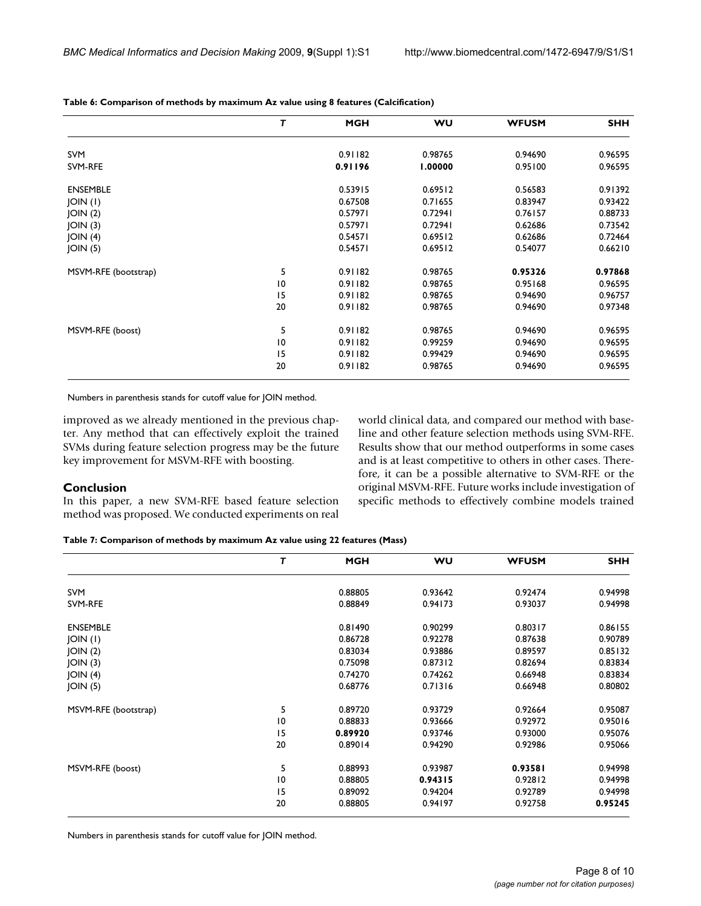|                      | т               | <b>MGH</b> | WU      | <b>WFUSM</b> | <b>SHH</b> |
|----------------------|-----------------|------------|---------|--------------|------------|
| <b>SVM</b>           |                 | 0.91182    | 0.98765 | 0.94690      | 0.96595    |
| SVM-RFE              |                 | 0.91196    | 1.00000 | 0.95100      | 0.96595    |
| <b>ENSEMBLE</b>      |                 | 0.53915    | 0.69512 | 0.56583      | 0.91392    |
| JOIN (I)             |                 | 0.67508    | 0.71655 | 0.83947      | 0.93422    |
| JOIN(2)              |                 | 0.57971    | 0.72941 | 0.76157      | 0.88733    |
| JOIN(3)              |                 | 0.57971    | 0.72941 | 0.62686      | 0.73542    |
| JOIN(4)              |                 | 0.54571    | 0.69512 | 0.62686      | 0.72464    |
| JOIN(5)              |                 | 0.54571    | 0.69512 | 0.54077      | 0.66210    |
| MSVM-RFE (bootstrap) | 5               | 0.91182    | 0.98765 | 0.95326      | 0.97868    |
|                      | 10              | 0.91182    | 0.98765 | 0.95168      | 0.96595    |
|                      | 15              | 0.91182    | 0.98765 | 0.94690      | 0.96757    |
|                      | 20              | 0.91182    | 0.98765 | 0.94690      | 0.97348    |
| MSVM-RFE (boost)     | 5               | 0.91182    | 0.98765 | 0.94690      | 0.96595    |
|                      | $\overline{10}$ | 0.91182    | 0.99259 | 0.94690      | 0.96595    |
|                      | 15              | 0.91182    | 0.99429 | 0.94690      | 0.96595    |
|                      | 20              | 0.91182    | 0.98765 | 0.94690      | 0.96595    |

**Table 6: Comparison of methods by maximum Az value using 8 features (Calcification)**

Numbers in parenthesis stands for cutoff value for JOIN method.

improved as we already mentioned in the previous chapter. Any method that can effectively exploit the trained SVMs during feature selection progress may be the future key improvement for MSVM-RFE with boosting.

#### world clinical data, and compared our method with baseline and other feature selection methods using SVM-RFE. Results show that our method outperforms in some cases and is at least competitive to others in other cases. Therefore, it can be a possible alternative to SVM-RFE or the original MSVM-RFE. Future works include investigation of specific methods to effectively combine models trained

#### **Conclusion**

In this paper, a new SVM-RFE based feature selection method was proposed. We conducted experiments on real

**Table 7: Comparison of methods by maximum Az value using 22 features (Mass)**

|                      | т  | <b>MGH</b> | <b>WU</b> | <b>WFUSM</b> | <b>SHH</b> |
|----------------------|----|------------|-----------|--------------|------------|
| SVM                  |    | 0.88805    | 0.93642   | 0.92474      | 0.94998    |
| SVM-RFE              |    | 0.88849    | 0.94173   | 0.93037      | 0.94998    |
| <b>ENSEMBLE</b>      |    | 0.81490    | 0.90299   | 0.80317      | 0.86155    |
| JOIN (I)             |    | 0.86728    | 0.92278   | 0.87638      | 0.90789    |
| JOIN(2)              |    | 0.83034    | 0.93886   | 0.89597      | 0.85132    |
| JOIN(3)              |    | 0.75098    | 0.87312   | 0.82694      | 0.83834    |
| JOIN(4)              |    | 0.74270    | 0.74262   | 0.66948      | 0.83834    |
| JOIN(5)              |    | 0.68776    | 0.71316   | 0.66948      | 0.80802    |
| MSVM-RFE (bootstrap) | 5  | 0.89720    | 0.93729   | 0.92664      | 0.95087    |
|                      | 10 | 0.88833    | 0.93666   | 0.92972      | 0.95016    |
|                      | 15 | 0.89920    | 0.93746   | 0.93000      | 0.95076    |
|                      | 20 | 0.89014    | 0.94290   | 0.92986      | 0.95066    |
| MSVM-RFE (boost)     | 5  | 0.88993    | 0.93987   | 0.93581      | 0.94998    |
|                      | 10 | 0.88805    | 0.94315   | 0.92812      | 0.94998    |
|                      | 15 | 0.89092    | 0.94204   | 0.92789      | 0.94998    |
|                      | 20 | 0.88805    | 0.94197   | 0.92758      | 0.95245    |

Numbers in parenthesis stands for cutoff value for JOIN method.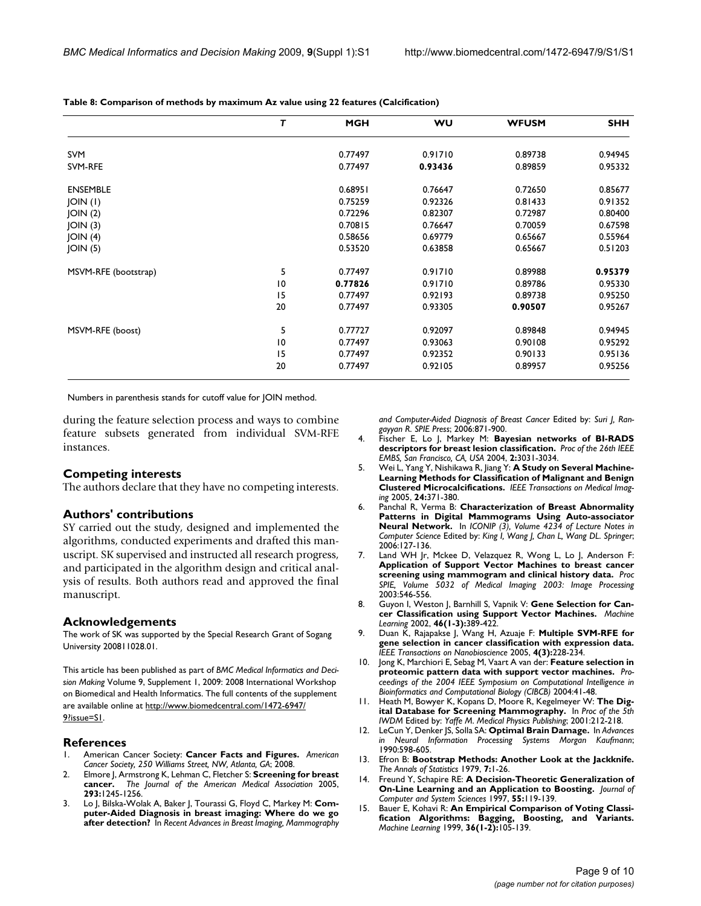|                      | т  | <b>MGH</b> | <b>WU</b> | <b>WFUSM</b> | <b>SHH</b> |
|----------------------|----|------------|-----------|--------------|------------|
| <b>SVM</b>           |    | 0.77497    | 0.91710   | 0.89738      | 0.94945    |
| SVM-RFE              |    | 0.77497    | 0.93436   | 0.89859      | 0.95332    |
| <b>ENSEMBLE</b>      |    | 0.68951    | 0.76647   | 0.72650      | 0.85677    |
| JOIN (I)             |    | 0.75259    | 0.92326   | 0.81433      | 0.91352    |
| JOIN(2)              |    | 0.72296    | 0.82307   | 0.72987      | 0.80400    |
| JOIN(3)              |    | 0.70815    | 0.76647   | 0.70059      | 0.67598    |
| JOIN(4)              |    | 0.58656    | 0.69779   | 0.65667      | 0.55964    |
| JOIN(5)              |    | 0.53520    | 0.63858   | 0.65667      | 0.51203    |
| MSVM-RFE (bootstrap) | 5  | 0.77497    | 0.91710   | 0.89988      | 0.95379    |
|                      | 10 | 0.77826    | 0.91710   | 0.89786      | 0.95330    |
|                      | 15 | 0.77497    | 0.92193   | 0.89738      | 0.95250    |
|                      | 20 | 0.77497    | 0.93305   | 0.90507      | 0.95267    |
| MSVM-RFE (boost)     | 5  | 0.77727    | 0.92097   | 0.89848      | 0.94945    |
|                      | 10 | 0.77497    | 0.93063   | 0.90108      | 0.95292    |
|                      | 15 | 0.77497    | 0.92352   | 0.90133      | 0.95136    |
|                      | 20 | 0.77497    | 0.92105   | 0.89957      | 0.95256    |

**Table 8: Comparison of methods by maximum Az value using 22 features (Calcification)**

Numbers in parenthesis stands for cutoff value for JOIN method.

during the feature selection process and ways to combine feature subsets generated from individual SVM-RFE instances.

#### **Competing interests**

The authors declare that they have no competing interests.

#### **Authors' contributions**

SY carried out the study, designed and implemented the algorithms, conducted experiments and drafted this manuscript. SK supervised and instructed all research progress, and participated in the algorithm design and critical analysis of results. Both authors read and approved the final manuscript.

#### **Acknowledgements**

The work of SK was supported by the Special Research Grant of Sogang University 200811028.01.

This article has been published as part of *BMC Medical Informatics and Decision Making* Volume 9, Supplement 1, 2009: 2008 International Workshop on Biomedical and Health Informatics. The full contents of the supplement are available online at [http://www.biomedcentral.com/1472-6947/](http://www.biomedcentral.com/1472-6947/9?issue=S1) [9?issue=S1.](http://www.biomedcentral.com/1472-6947/9?issue=S1)

#### **References**

- 1. American Cancer Society: **Cancer Facts and Figures.** *American Cancer Society, 250 Williams Street, NW, Atlanta, GA*; 2008.
- 2. Elmore J, Armstrong K, Lehman C, Fletcher S: **Screening for breast cancer.** *The Journal of the American Medical Association* 2005, **293:**1245-1256.
- 3. Lo J, Bilska-Wolak A, Baker J, Tourassi G, Floyd C, Markey M: **Computer-Aided Diagnosis in breast imaging: Where do we go after detection?** In *Recent Advances in Breast Imaging, Mammography*

*and Computer-Aided Diagnosis of Breast Cancer* Edited by: *Suri J, Rangayyan R*. *SPIE Press*; 2006:871-900.

- 4. Fischer E, Lo J, Markey M: **Bayesian networks of BI-RADS descriptors for breast lesion classification.** *Proc of the 26th IEEE EMBS, San Francisco, CA, USA* 2004, **2:**3031-3034.
- 5. Wei L, Yang Y, Nishikawa R, Jiang Y: **[A Study on Several Machine-](http://www.ncbi.nlm.nih.gov/entrez/query.fcgi?cmd=Retrieve&db=PubMed&dopt=Abstract&list_uids=15754987)[Learning Methods for Classification of Malignant and Benign](http://www.ncbi.nlm.nih.gov/entrez/query.fcgi?cmd=Retrieve&db=PubMed&dopt=Abstract&list_uids=15754987) [Clustered Microcalcifications.](http://www.ncbi.nlm.nih.gov/entrez/query.fcgi?cmd=Retrieve&db=PubMed&dopt=Abstract&list_uids=15754987)** *IEEE Transactions on Medical Imaging* 2005, **24:**371-380.
- 6. Panchal R, Verma B: **Characterization of Breast Abnormality Patterns in Digital Mammograms Using Auto-associator Neural Network.** In *ICONIP (3), Volume 4234 of Lecture Notes in Computer Science* Edited by: *King I, Wang J, Chan L, Wang DL*. *Springer*; 2006:127-136.
- 7. Land WH Jr, Mckee D, Velazquez R, Wong L, Lo J, Anderson F: **Application of Support Vector Machines to breast cancer screening using mammogram and clinical history data.** *Proc SPIE, Volume 5032 of Medical Imaging 2003: Image Processing* 2003:546-556.
- 8. Guyon I, Weston J, Barnhill S, Vapnik V: Gene Selection for Can**cer Classification using Support Vector Machines.** *Machine Learning* 2002, **46(1-3):**389-422.
- 9. Duan K, Rajapakse J, Wang H, Azuaje F: **[Multiple SVM-RFE for](http://www.ncbi.nlm.nih.gov/entrez/query.fcgi?cmd=Retrieve&db=PubMed&dopt=Abstract&list_uids=16220686) [gene selection in cancer classification with expression data.](http://www.ncbi.nlm.nih.gov/entrez/query.fcgi?cmd=Retrieve&db=PubMed&dopt=Abstract&list_uids=16220686)** *IEEE Transactions on Nanobioscience* 2005, **4(3):**228-234.
- 10. Jong K, Marchiori E, Sebag M, Vaart A van der: **Feature selection in proteomic pattern data with support vector machines.** *Proceedings of the 2004 IEEE Symposium on Computational Intelligence in Bioinformatics and Computational Biology (CIBCB)* 2004:41-48.
- 11. Heath M, Bowyer K, Kopans D, Moore R, Kegelmeyer W: **The Digital Database for Screening Mammography.** In *Proc of the 5th IWDM* Edited by: *Yaffe M*. *Medical Physics Publishing*; 2001:212-218.
- 12. LeCun Y, Denker JS, Solla SA: **Optimal Brain Damage.** In *Advances in Neural Information Processing Systems Morgan Kaufmann*; 1990:598-605.
- 13. Efron B: **Bootstrap Methods: Another Look at the Jackknife.** *The Annals of Statistics* 1979, **7:**1-26.
- 14. Freund Y, Schapire RE: **A Decision-Theoretic Generalization of On-Line Learning and an Application to Boosting.** *Journal of Computer and System Sciences* 1997, **55:**119-139.
- Bauer E, Kohavi R: An Empirical Comparison of Voting Classi**fication Algorithms: Bagging, Boosting, and Variants.** *Machine Learning* 1999, **36(1-2):**105-139.